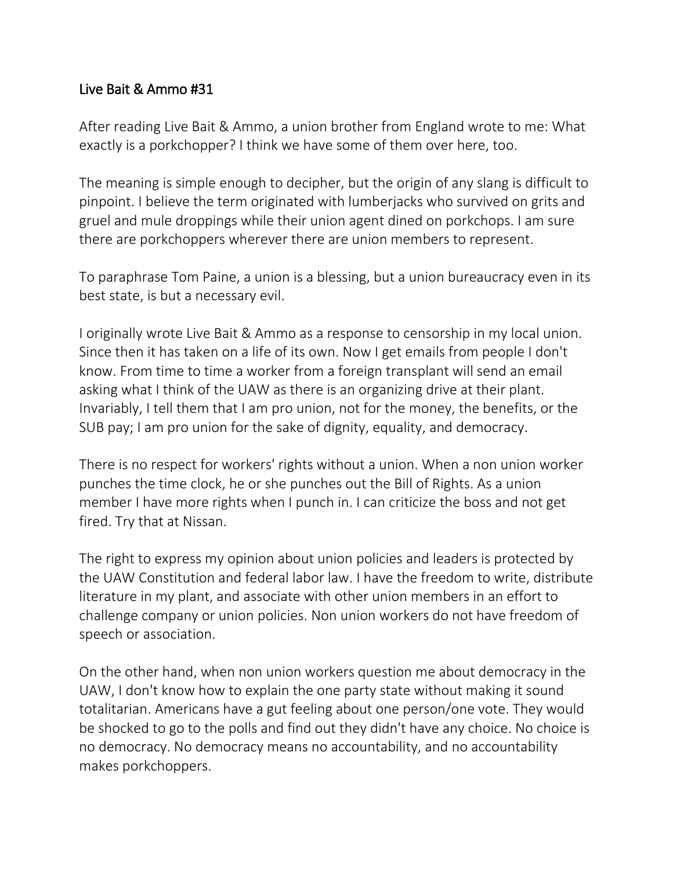## Live Bait & Ammo #31

After reading Live Bait & Ammo, a union brother from England wrote to me: What exactly is a porkchopper? I think we have some of them over here, too.

The meaning is simple enough to decipher, but the origin of any slang is difficult to pinpoint. I believe the term originated with lumberjacks who survived on grits and gruel and mule droppings while their union agent dined on porkchops. I am sure there are porkchoppers wherever there are union members to represent.

To paraphrase Tom Paine, a union is a blessing, but a union bureaucracy even in its best state, is but a necessary evil.

I originally wrote Live Bait & Ammo as a response to censorship in my local union. Since then it has taken on a life of its own. Now I get emails from people I don't know. From time to time a worker from a foreign transplant will send an email asking what I think of the UAW as there is an organizing drive at their plant. Invariably, I tell them that I am pro union, not for the money, the benefits, or the SUB pay; I am pro union for the sake of dignity, equality, and democracy.

There is no respect for workers' rights without a union. When a non union worker punches the time clock, he or she punches out the Bill of Rights. As a union member I have more rights when I punch in. I can criticize the boss and not get fired. Try that at Nissan.

The right to express my opinion about union policies and leaders is protected by the UAW Constitution and federal labor law. I have the freedom to write, distribute literature in my plant, and associate with other union members in an effort to challenge company or union policies. Non union workers do not have freedom of speech or association.

On the other hand, when non union workers question me about democracy in the UAW, I don't know how to explain the one party state without making it sound totalitarian. Americans have a gut feeling about one person/one vote. They would be shocked to go to the polls and find out they didn't have any choice. No choice is no democracy. No democracy means no accountability, and no accountability makes porkchoppers.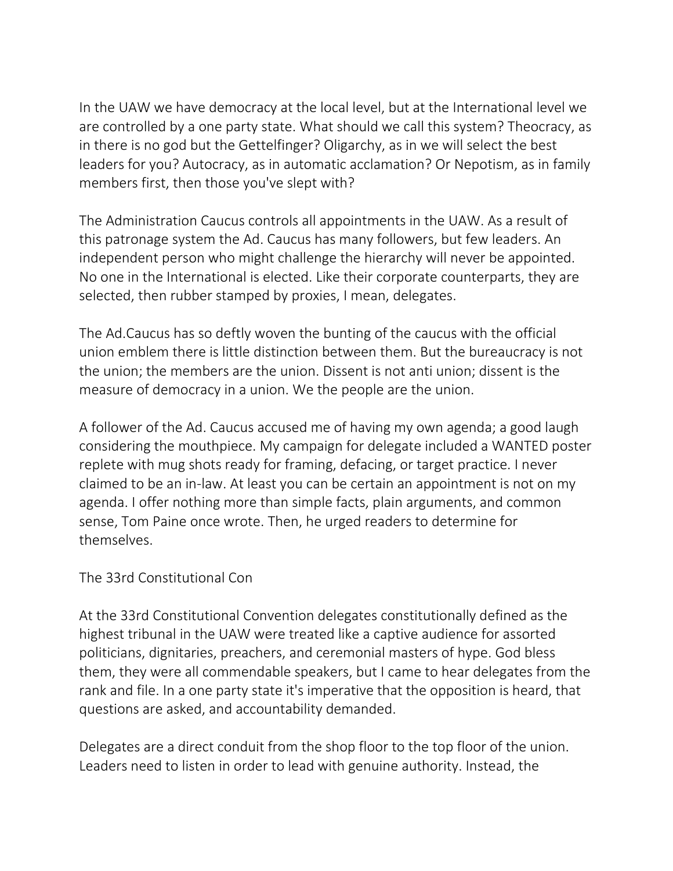In the UAW we have democracy at the local level, but at the International level we are controlled by a one party state. What should we call this system? Theocracy, as in there is no god but the Gettelfinger? Oligarchy, as in we will select the best leaders for you? Autocracy, as in automatic acclamation? Or Nepotism, as in family members first, then those you've slept with?

The Administration Caucus controls all appointments in the UAW. As a result of this patronage system the Ad. Caucus has many followers, but few leaders. An independent person who might challenge the hierarchy will never be appointed. No one in the International is elected. Like their corporate counterparts, they are selected, then rubber stamped by proxies, I mean, delegates.

The Ad.Caucus has so deftly woven the bunting of the caucus with the official union emblem there is little distinction between them. But the bureaucracy is not the union; the members are the union. Dissent is not anti union; dissent is the measure of democracy in a union. We the people are the union.

A follower of the Ad. Caucus accused me of having my own agenda; a good laugh considering the mouthpiece. My campaign for delegate included a WANTED poster replete with mug shots ready for framing, defacing, or target practice. I never claimed to be an in-law. At least you can be certain an appointment is not on my agenda. I offer nothing more than simple facts, plain arguments, and common sense, Tom Paine once wrote. Then, he urged readers to determine for themselves.

The 33rd Constitutional Con

At the 33rd Constitutional Convention delegates constitutionally defined as the highest tribunal in the UAW were treated like a captive audience for assorted politicians, dignitaries, preachers, and ceremonial masters of hype. God bless them, they were all commendable speakers, but I came to hear delegates from the rank and file. In a one party state it's imperative that the opposition is heard, that questions are asked, and accountability demanded.

Delegates are a direct conduit from the shop floor to the top floor of the union. Leaders need to listen in order to lead with genuine authority. Instead, the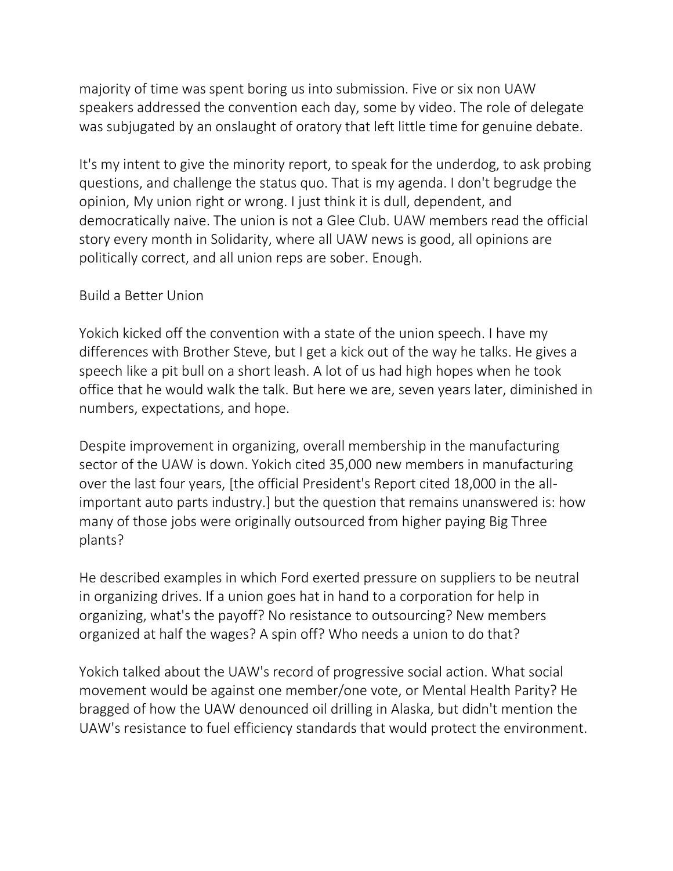majority of time was spent boring us into submission. Five or six non UAW speakers addressed the convention each day, some by video. The role of delegate was subjugated by an onslaught of oratory that left little time for genuine debate.

It's my intent to give the minority report, to speak for the underdog, to ask probing questions, and challenge the status quo. That is my agenda. I don't begrudge the opinion, My union right or wrong. I just think it is dull, dependent, and democratically naive. The union is not a Glee Club. UAW members read the official story every month in Solidarity, where all UAW news is good, all opinions are politically correct, and all union reps are sober. Enough.

## Build a Better Union

Yokich kicked off the convention with a state of the union speech. I have my differences with Brother Steve, but I get a kick out of the way he talks. He gives a speech like a pit bull on a short leash. A lot of us had high hopes when he took office that he would walk the talk. But here we are, seven years later, diminished in numbers, expectations, and hope.

Despite improvement in organizing, overall membership in the manufacturing sector of the UAW is down. Yokich cited 35,000 new members in manufacturing over the last four years, [the official President's Report cited 18,000 in the allimportant auto parts industry.] but the question that remains unanswered is: how many of those jobs were originally outsourced from higher paying Big Three plants?

He described examples in which Ford exerted pressure on suppliers to be neutral in organizing drives. If a union goes hat in hand to a corporation for help in organizing, what's the payoff? No resistance to outsourcing? New members organized at half the wages? A spin off? Who needs a union to do that?

Yokich talked about the UAW's record of progressive social action. What social movement would be against one member/one vote, or Mental Health Parity? He bragged of how the UAW denounced oil drilling in Alaska, but didn't mention the UAW's resistance to fuel efficiency standards that would protect the environment.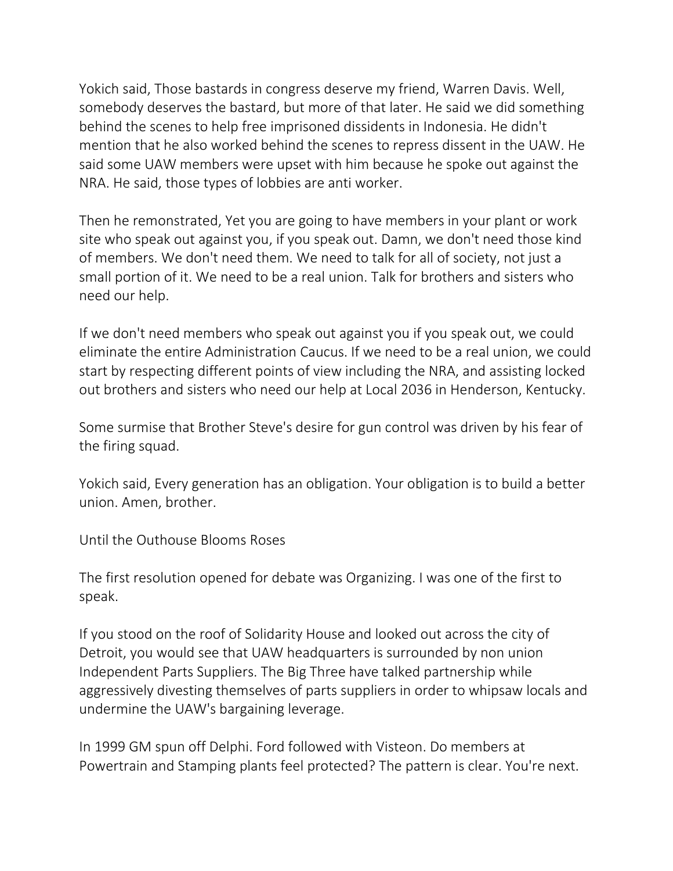Yokich said, Those bastards in congress deserve my friend, Warren Davis. Well, somebody deserves the bastard, but more of that later. He said we did something behind the scenes to help free imprisoned dissidents in Indonesia. He didn't mention that he also worked behind the scenes to repress dissent in the UAW. He said some UAW members were upset with him because he spoke out against the NRA. He said, those types of lobbies are anti worker.

Then he remonstrated, Yet you are going to have members in your plant or work site who speak out against you, if you speak out. Damn, we don't need those kind of members. We don't need them. We need to talk for all of society, not just a small portion of it. We need to be a real union. Talk for brothers and sisters who need our help.

If we don't need members who speak out against you if you speak out, we could eliminate the entire Administration Caucus. If we need to be a real union, we could start by respecting different points of view including the NRA, and assisting locked out brothers and sisters who need our help at Local 2036 in Henderson, Kentucky.

Some surmise that Brother Steve's desire for gun control was driven by his fear of the firing squad.

Yokich said, Every generation has an obligation. Your obligation is to build a better union. Amen, brother.

Until the Outhouse Blooms Roses

The first resolution opened for debate was Organizing. I was one of the first to speak.

If you stood on the roof of Solidarity House and looked out across the city of Detroit, you would see that UAW headquarters is surrounded by non union Independent Parts Suppliers. The Big Three have talked partnership while aggressively divesting themselves of parts suppliers in order to whipsaw locals and undermine the UAW's bargaining leverage.

In 1999 GM spun off Delphi. Ford followed with Visteon. Do members at Powertrain and Stamping plants feel protected? The pattern is clear. You're next.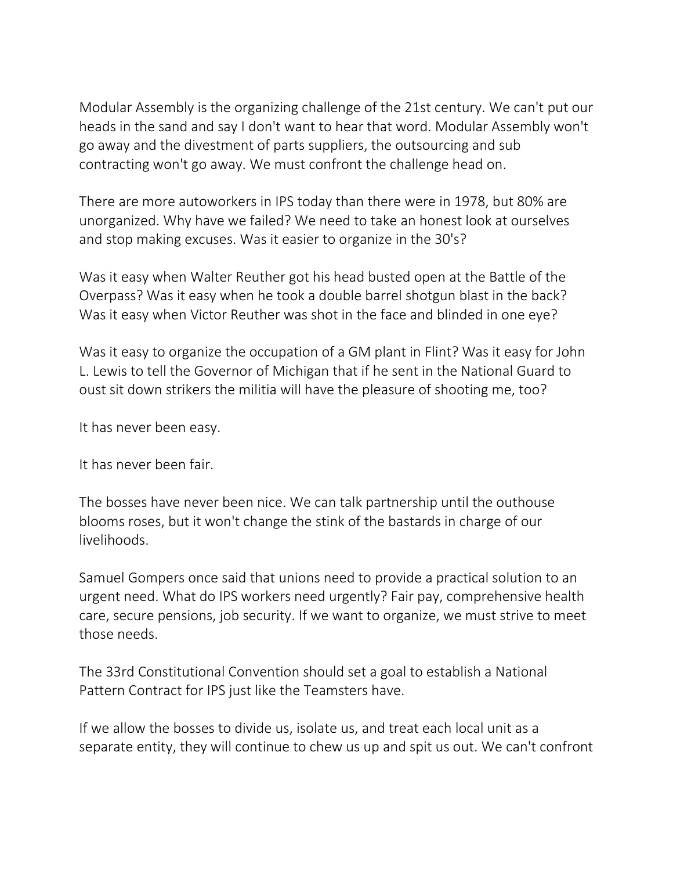Modular Assembly is the organizing challenge of the 21st century. We can't put our heads in the sand and say I don't want to hear that word. Modular Assembly won't go away and the divestment of parts suppliers, the outsourcing and sub contracting won't go away. We must confront the challenge head on.

There are more autoworkers in IPS today than there were in 1978, but 80% are unorganized. Why have we failed? We need to take an honest look at ourselves and stop making excuses. Was it easier to organize in the 30's?

Was it easy when Walter Reuther got his head busted open at the Battle of the Overpass? Was it easy when he took a double barrel shotgun blast in the back? Was it easy when Victor Reuther was shot in the face and blinded in one eye?

Was it easy to organize the occupation of a GM plant in Flint? Was it easy for John L. Lewis to tell the Governor of Michigan that if he sent in the National Guard to oust sit down strikers the militia will have the pleasure of shooting me, too?

It has never been easy.

It has never been fair.

The bosses have never been nice. We can talk partnership until the outhouse blooms roses, but it won't change the stink of the bastards in charge of our livelihoods.

Samuel Gompers once said that unions need to provide a practical solution to an urgent need. What do IPS workers need urgently? Fair pay, comprehensive health care, secure pensions, job security. If we want to organize, we must strive to meet those needs.

The 33rd Constitutional Convention should set a goal to establish a National Pattern Contract for IPS just like the Teamsters have.

If we allow the bosses to divide us, isolate us, and treat each local unit as a separate entity, they will continue to chew us up and spit us out. We can't confront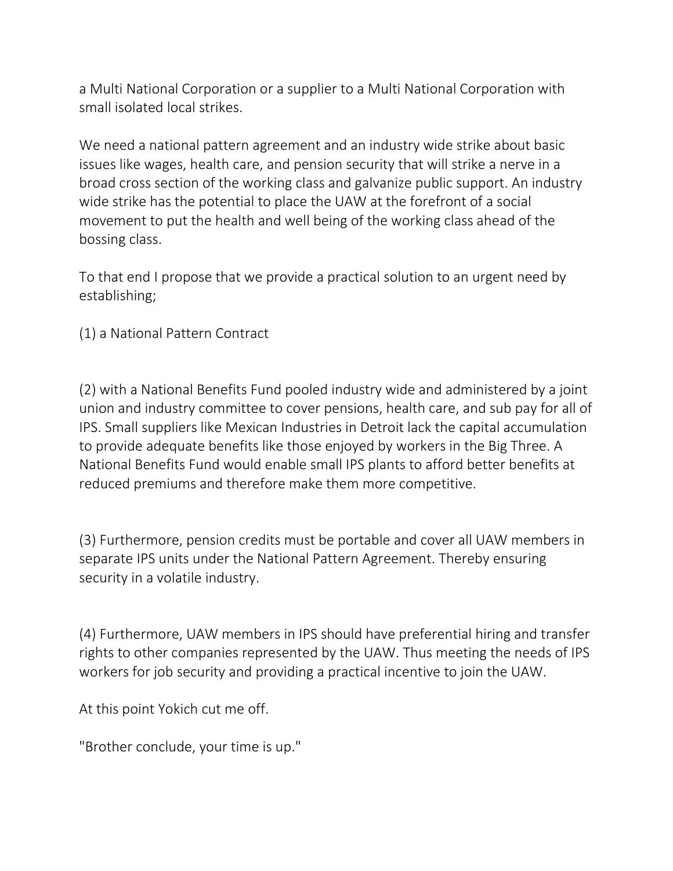a Multi National Corporation or a supplier to a Multi National Corporation with small isolated local strikes.

We need a national pattern agreement and an industry wide strike about basic issues like wages, health care, and pension security that will strike a nerve in a broad cross section of the working class and galvanize public support. An industry wide strike has the potential to place the UAW at the forefront of a social movement to put the health and well being of the working class ahead of the bossing class.

To that end I propose that we provide a practical solution to an urgent need by establishing;

(1) a National Pattern Contract

(2) with a National Benefits Fund pooled industry wide and administered by a joint union and industry committee to cover pensions, health care, and sub pay for all of IPS. Small suppliers like Mexican Industries in Detroit lack the capital accumulation to provide adequate benefits like those enjoyed by workers in the Big Three. A National Benefits Fund would enable small IPS plants to afford better benefits at reduced premiums and therefore make them more competitive.

(3) Furthermore, pension credits must be portable and cover all UAW members in separate IPS units under the National Pattern Agreement. Thereby ensuring security in a volatile industry.

(4) Furthermore, UAW members in IPS should have preferential hiring and transfer rights to other companies represented by the UAW. Thus meeting the needs of IPS workers for job security and providing a practical incentive to join the UAW.

At this point Yokich cut me off.

"Brother conclude, your time is up."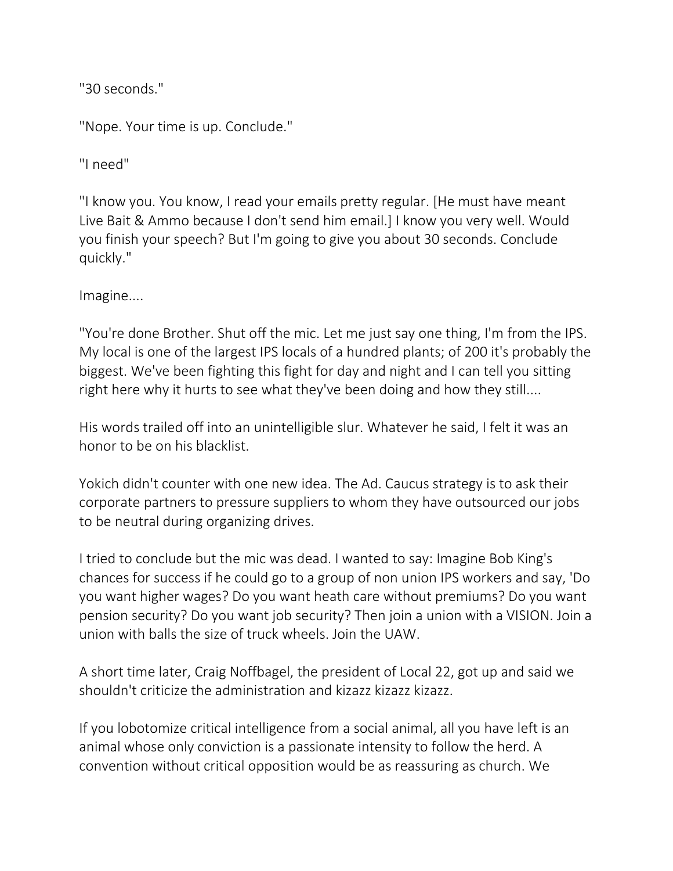"30 seconds."

"Nope. Your time is up. Conclude."

"I need"

"I know you. You know, I read your emails pretty regular. [He must have meant Live Bait & Ammo because I don't send him email.] I know you very well. Would you finish your speech? But I'm going to give you about 30 seconds. Conclude quickly."

Imagine....

"You're done Brother. Shut off the mic. Let me just say one thing, I'm from the IPS. My local is one of the largest IPS locals of a hundred plants; of 200 it's probably the biggest. We've been fighting this fight for day and night and I can tell you sitting right here why it hurts to see what they've been doing and how they still....

His words trailed off into an unintelligible slur. Whatever he said, I felt it was an honor to be on his blacklist.

Yokich didn't counter with one new idea. The Ad. Caucus strategy is to ask their corporate partners to pressure suppliers to whom they have outsourced our jobs to be neutral during organizing drives.

I tried to conclude but the mic was dead. I wanted to say: Imagine Bob King's chances for success if he could go to a group of non union IPS workers and say, 'Do you want higher wages? Do you want heath care without premiums? Do you want pension security? Do you want job security? Then join a union with a VISION. Join a union with balls the size of truck wheels. Join the UAW.

A short time later, Craig Noffbagel, the president of Local 22, got up and said we shouldn't criticize the administration and kizazz kizazz kizazz.

If you lobotomize critical intelligence from a social animal, all you have left is an animal whose only conviction is a passionate intensity to follow the herd. A convention without critical opposition would be as reassuring as church. We